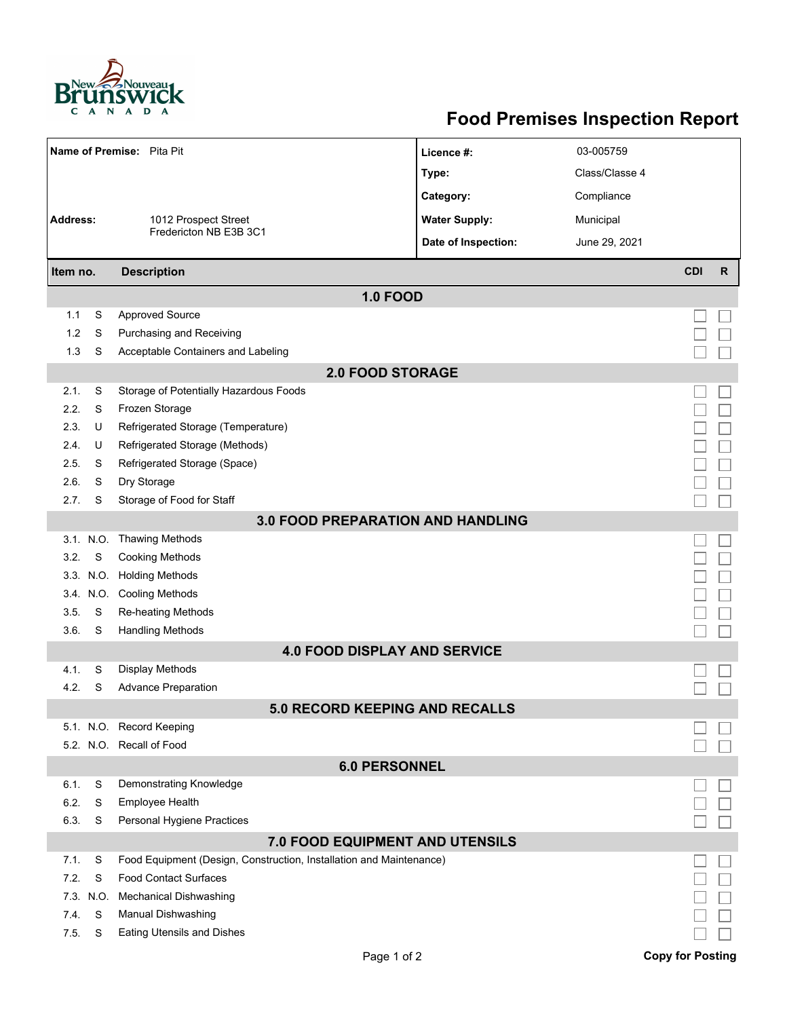

## **Food Premises Inspection Report**

| Name of Premise: Pita Pit         |           |                                                                     | Licence #:           | 03-005759      |                         |              |  |  |  |  |
|-----------------------------------|-----------|---------------------------------------------------------------------|----------------------|----------------|-------------------------|--------------|--|--|--|--|
|                                   |           |                                                                     | Type:                | Class/Classe 4 |                         |              |  |  |  |  |
|                                   |           |                                                                     |                      |                |                         |              |  |  |  |  |
|                                   |           |                                                                     | Category:            | Compliance     |                         |              |  |  |  |  |
| <b>Address:</b>                   |           | 1012 Prospect Street<br>Fredericton NB E3B 3C1                      | <b>Water Supply:</b> | Municipal      |                         |              |  |  |  |  |
|                                   |           |                                                                     | Date of Inspection:  | June 29, 2021  |                         |              |  |  |  |  |
| Item no.                          |           | <b>Description</b>                                                  |                      |                | <b>CDI</b>              | $\mathsf{R}$ |  |  |  |  |
| <b>1.0 FOOD</b>                   |           |                                                                     |                      |                |                         |              |  |  |  |  |
| 1.1                               | S         | <b>Approved Source</b>                                              |                      |                |                         |              |  |  |  |  |
| 1.2                               | S         | Purchasing and Receiving                                            |                      |                |                         |              |  |  |  |  |
| 1.3                               | S         | Acceptable Containers and Labeling                                  |                      |                |                         |              |  |  |  |  |
| <b>2.0 FOOD STORAGE</b>           |           |                                                                     |                      |                |                         |              |  |  |  |  |
| 2.1.                              | S         | Storage of Potentially Hazardous Foods                              |                      |                |                         |              |  |  |  |  |
| 2.2.                              | S         | Frozen Storage                                                      |                      |                |                         |              |  |  |  |  |
| 2.3.                              | U         | Refrigerated Storage (Temperature)                                  |                      |                |                         |              |  |  |  |  |
| 2.4.                              | U         | Refrigerated Storage (Methods)                                      |                      |                |                         |              |  |  |  |  |
| 2.5.                              | S         | Refrigerated Storage (Space)                                        |                      |                |                         |              |  |  |  |  |
| 2.6.                              | S         | Dry Storage                                                         |                      |                |                         |              |  |  |  |  |
| 2.7.                              | S         | Storage of Food for Staff                                           |                      |                |                         |              |  |  |  |  |
| 3.0 FOOD PREPARATION AND HANDLING |           |                                                                     |                      |                |                         |              |  |  |  |  |
|                                   | 3.1. N.O. | Thawing Methods                                                     |                      |                |                         |              |  |  |  |  |
| 3.2.                              | S         | <b>Cooking Methods</b>                                              |                      |                |                         |              |  |  |  |  |
|                                   | 3.3 N.O.  | <b>Holding Methods</b>                                              |                      |                |                         |              |  |  |  |  |
|                                   | 3.4. N.O. | <b>Cooling Methods</b>                                              |                      |                |                         |              |  |  |  |  |
| 3.5.<br>3.6.                      | S<br>S    | <b>Re-heating Methods</b><br><b>Handling Methods</b>                |                      |                |                         |              |  |  |  |  |
|                                   |           | <b>4.0 FOOD DISPLAY AND SERVICE</b>                                 |                      |                |                         |              |  |  |  |  |
| 4.1.                              | S         | <b>Display Methods</b>                                              |                      |                |                         |              |  |  |  |  |
| 4.2.                              | S         | <b>Advance Preparation</b>                                          |                      |                |                         |              |  |  |  |  |
|                                   |           | <b>5.0 RECORD KEEPING AND RECALLS</b>                               |                      |                |                         |              |  |  |  |  |
|                                   |           | 5.1. N.O. Record Keeping                                            |                      |                |                         |              |  |  |  |  |
|                                   |           | 5.2. N.O. Recall of Food                                            |                      |                |                         |              |  |  |  |  |
| <b>6.0 PERSONNEL</b>              |           |                                                                     |                      |                |                         |              |  |  |  |  |
| 6.1.                              | S         | Demonstrating Knowledge                                             |                      |                |                         |              |  |  |  |  |
| 6.2.                              | S         | Employee Health                                                     |                      |                |                         |              |  |  |  |  |
| 6.3.                              | S         | Personal Hygiene Practices                                          |                      |                |                         |              |  |  |  |  |
| 7.0 FOOD EQUIPMENT AND UTENSILS   |           |                                                                     |                      |                |                         |              |  |  |  |  |
| 7.1.                              | S         | Food Equipment (Design, Construction, Installation and Maintenance) |                      |                |                         |              |  |  |  |  |
| 7.2.                              | S         | <b>Food Contact Surfaces</b>                                        |                      |                |                         |              |  |  |  |  |
| 7.3.                              | N.O.      | <b>Mechanical Dishwashing</b>                                       |                      |                |                         |              |  |  |  |  |
| 7.4.                              | S         | Manual Dishwashing                                                  |                      |                |                         |              |  |  |  |  |
| 7.5.                              | S         | <b>Eating Utensils and Dishes</b>                                   |                      |                |                         |              |  |  |  |  |
|                                   |           | Page 1 of 2                                                         |                      |                | <b>Copy for Posting</b> |              |  |  |  |  |